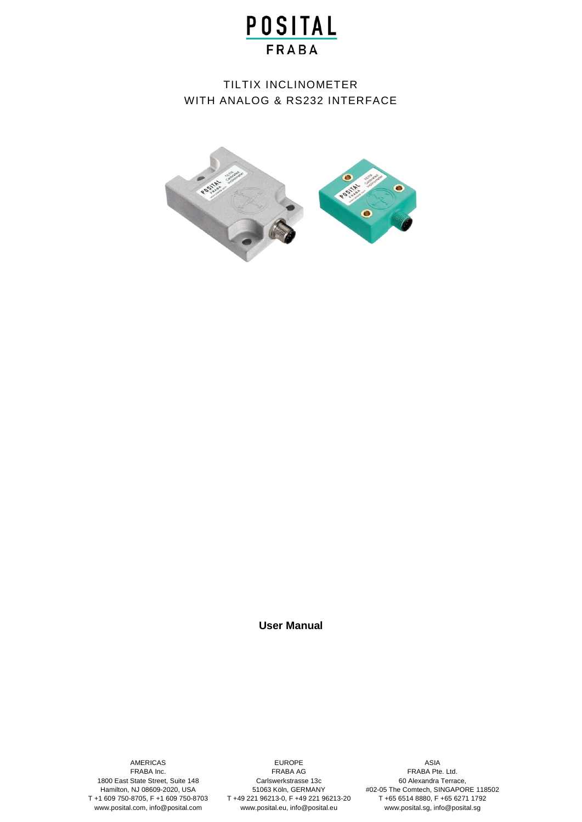# TILTIX INCLINOMETER WITH ANALOG & RS232 INTERFACE



**User Manual**

AMERICAS FRABA Inc. 1800 East State Street, Suite 148 Hamilton, NJ 08609-2020, USA T +1 609 750-8705, F +1 609 750-8703 www.posital.com, info@posital.com

EUROPE FRABA AG Carlswerkstrasse 13c 51063 Köln, GERMANY T +49 221 96213-0, F +49 221 96213-20 www.posital.eu, info@posital.eu

ASIA FRABA Pte. Ltd. 60 Alexandra Terrace, #02-05 The Comtech, SINGAPORE 118502 T +65 6514 8880, F +65 6271 1792 www.posital.sg, info@posital.sg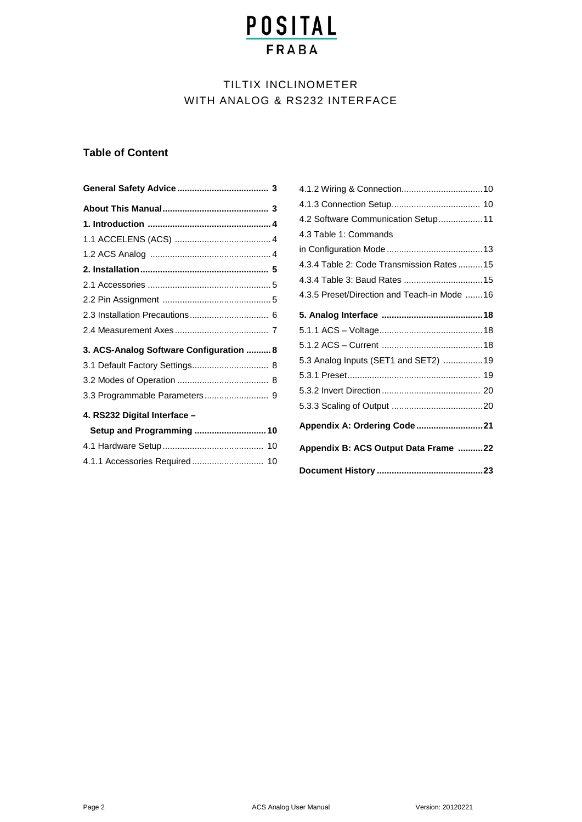# TILTIX INCLINOMETER WITH ANALOG & RS232 INTERFACE

### **Table of Content**

| 3. ACS-Analog Software Configuration  8 |
|-----------------------------------------|
| 3.1 Default Factory Settings 8          |
|                                         |
|                                         |
| 4. RS232 Digital Interface -            |
| Setup and Programming  10               |
|                                         |
| 4.1.1 Accessories Required 10           |

| Appendix B: ACS Output Data Frame 22        |  |
|---------------------------------------------|--|
| Appendix A: Ordering Code 21                |  |
|                                             |  |
|                                             |  |
|                                             |  |
| 5.3 Analog Inputs (SET1 and SET2) 19        |  |
|                                             |  |
|                                             |  |
|                                             |  |
| 4.3.5 Preset/Direction and Teach-in Mode 16 |  |
| 4.3.4 Table 3: Baud Rates  15               |  |
| 4.3.4 Table 2: Code Transmission Rates  15  |  |
|                                             |  |
| 4.3 Table 1: Commands                       |  |
| 4.2 Software Communication Setup 11         |  |
|                                             |  |
|                                             |  |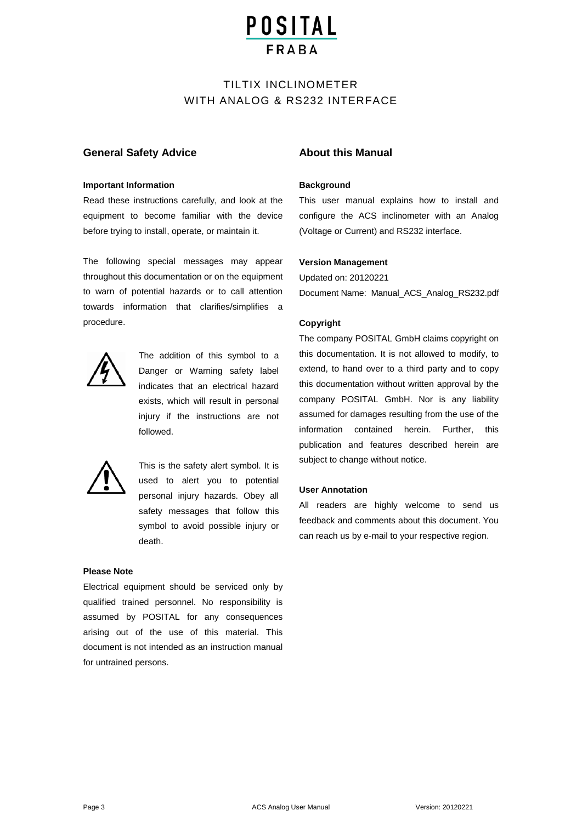### TILTIX INCLINOMETER WITH ANALOG & RS232 INTERFACE

#### **General Safety Advice**

#### **Important Information**

Read these instructions carefully, and look at the equipment to become familiar with the device before trying to install, operate, or maintain it.

The following special messages may appear throughout this documentation or on the equipment to warn of potential hazards or to call attention towards information that clarifies/simplifies a procedure.



The addition of this symbol to a Danger or Warning safety label indicates that an electrical hazard exists, which will result in personal injury if the instructions are not followed.



This is the safety alert symbol. It is used to alert you to potential personal injury hazards. Obey all safety messages that follow this symbol to avoid possible injury or death.

#### **Please Note**

Electrical equipment should be serviced only by qualified trained personnel. No responsibility is assumed by POSITAL for any consequences arising out of the use of this material. This document is not intended as an instruction manual for untrained persons.

#### **About this Manual**

#### **Background**

This user manual explains how to install and configure the ACS inclinometer with an Analog (Voltage or Current) and RS232 interface.

#### **Version Management**

Updated on: 20120221 Document Name: Manual\_ACS\_Analog\_RS232.pdf

#### **Copyright**

The company POSITAL GmbH claims copyright on this documentation. It is not allowed to modify, to extend, to hand over to a third party and to copy this documentation without written approval by the company POSITAL GmbH. Nor is any liability assumed for damages resulting from the use of the information contained herein. Further, this publication and features described herein are subject to change without notice.

#### **User Annotation**

All readers are highly welcome to send us feedback and comments about this document. You can reach us by e-mail to your respective region.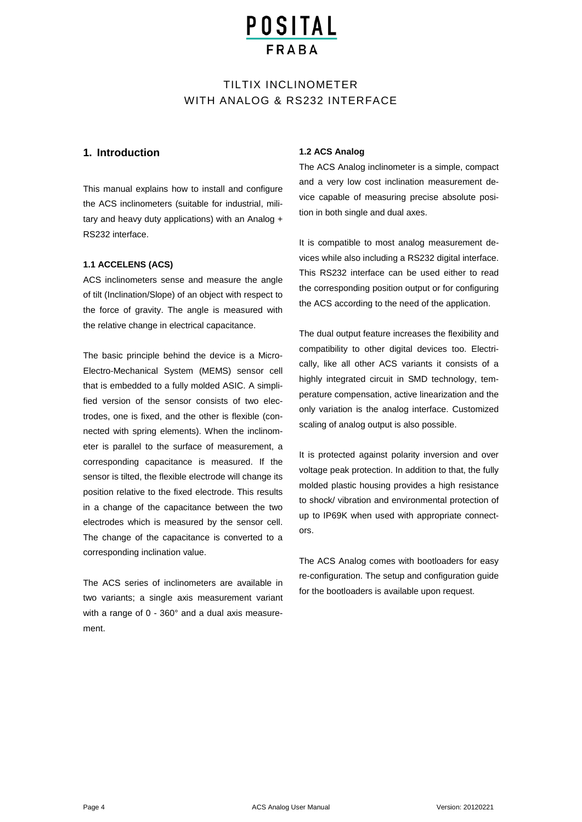# **POSITAL**

### TILTIX INCLINOMETER WITH ANALOG & RS232 INTERFACE

#### **1. Introduction**

This manual explains how to install and configure the ACS inclinometers (suitable for industrial, military and heavy duty applications) with an Analog + RS232 interface.

#### **1.1 ACCELENS (ACS)**

ACS inclinometers sense and measure the angle of tilt (Inclination/Slope) of an object with respect to the force of gravity. The angle is measured with the relative change in electrical capacitance.

The basic principle behind the device is a Micro-Electro-Mechanical System (MEMS) sensor cell that is embedded to a fully molded ASIC. A simplified version of the sensor consists of two electrodes, one is fixed, and the other is flexible (connected with spring elements). When the inclinometer is parallel to the surface of measurement, a corresponding capacitance is measured. If the sensor is tilted, the flexible electrode will change its position relative to the fixed electrode. This results in a change of the capacitance between the two electrodes which is measured by the sensor cell. The change of the capacitance is converted to a corresponding inclination value.

The ACS series of inclinometers are available in two variants; a single axis measurement variant with a range of 0 - 360° and a dual axis measurement.

#### **1.2 ACS Analog**

The ACS Analog inclinometer is a simple, compact and a very low cost inclination measurement device capable of measuring precise absolute position in both single and dual axes.

It is compatible to most analog measurement devices while also including a RS232 digital interface. This RS232 interface can be used either to read the corresponding position output or for configuring the ACS according to the need of the application.

The dual output feature increases the flexibility and compatibility to other digital devices too. Electrically, like all other ACS variants it consists of a highly integrated circuit in SMD technology, temperature compensation, active linearization and the only variation is the analog interface. Customized scaling of analog output is also possible.

It is protected against polarity inversion and over voltage peak protection. In addition to that, the fully molded plastic housing provides a high resistance to shock/ vibration and environmental protection of up to IP69K when used with appropriate connectors.

The ACS Analog comes with bootloaders for easy re-configuration. The setup and configuration guide for the bootloaders is available upon request.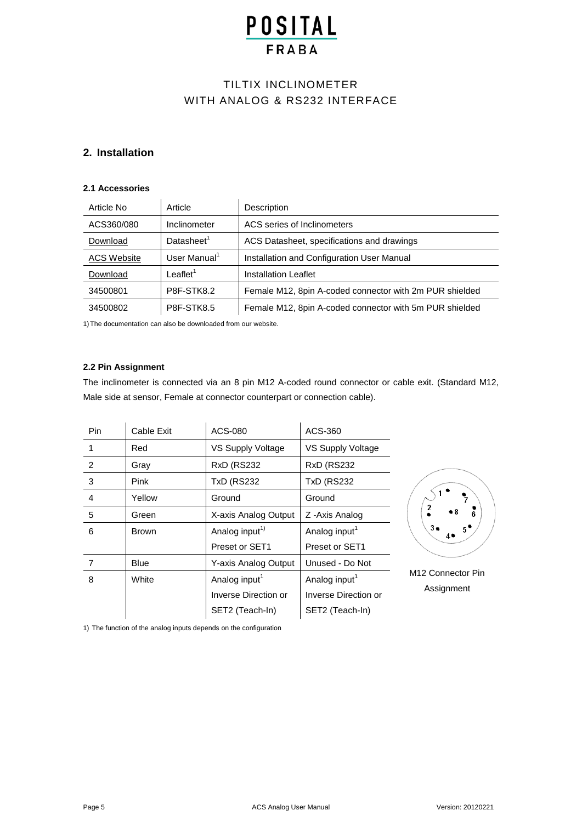# TILTIX INCLINOMETER WITH ANALOG & RS232 INTERFACE

#### **2. Installation**

#### **2.1 Accessories**

| Article No         | Article              | Description                                             |
|--------------------|----------------------|---------------------------------------------------------|
| ACS360/080         | Inclinometer         | ACS series of Inclinometers                             |
| Download           | Datasheet $1$        | ACS Datasheet, specifications and drawings              |
| <b>ACS Website</b> | User Manual $1$      | Installation and Configuration User Manual              |
| Download           | Leaflet <sup>1</sup> | <b>Installation Leaflet</b>                             |
| 34500801           | <b>P8F-STK8.2</b>    | Female M12, 8pin A-coded connector with 2m PUR shielded |
| 34500802           | <b>P8F-STK8.5</b>    | Female M12, 8pin A-coded connector with 5m PUR shielded |

1)The documentation can also be downloaded from our website.

#### **2.2 Pin Assignment**

The inclinometer is connected via an 8 pin M12 A-coded round connector or cable exit. (Standard M12, Male side at sensor, Female at connector counterpart or connection cable).

| Pin<br>ACS-080<br>Cable Exit<br>ACS-360                                         |                      |
|---------------------------------------------------------------------------------|----------------------|
|                                                                                 |                      |
| VS Supply Voltage<br>VS Supply Voltage<br>1<br>Red                              |                      |
| 2<br><b>RxD (RS232</b><br><b>RxD (RS232)</b><br>Gray                            |                      |
| 3<br><b>TxD (RS232</b><br><b>TxD (RS232</b><br>Pink                             |                      |
| 4<br>Yellow<br>Ground<br>Ground                                                 |                      |
| 5<br>X-axis Analog Output<br>Z - Axis Analog<br>Green                           | 2                    |
| Analog input <sup>1)</sup><br>Analog input <sup>1</sup><br>6<br><b>Brown</b>    | $3\bullet$           |
| Preset or SET1<br>Preset or SET1                                                |                      |
| <b>Y-axis Analog Output</b><br>Unused - Do Not<br>$\overline{7}$<br><b>Blue</b> |                      |
| Analog input <sup>1</sup><br>Analog input <sup>1</sup><br>8<br>White            | M <sub>12</sub> Conr |
| Inverse Direction or<br>Inverse Direction or                                    | Assig                |
| SET2 (Teach-In)<br>SET2 (Teach-In)                                              |                      |

nector Pin **Inment** 

1) The function of the analog inputs depends on the configuration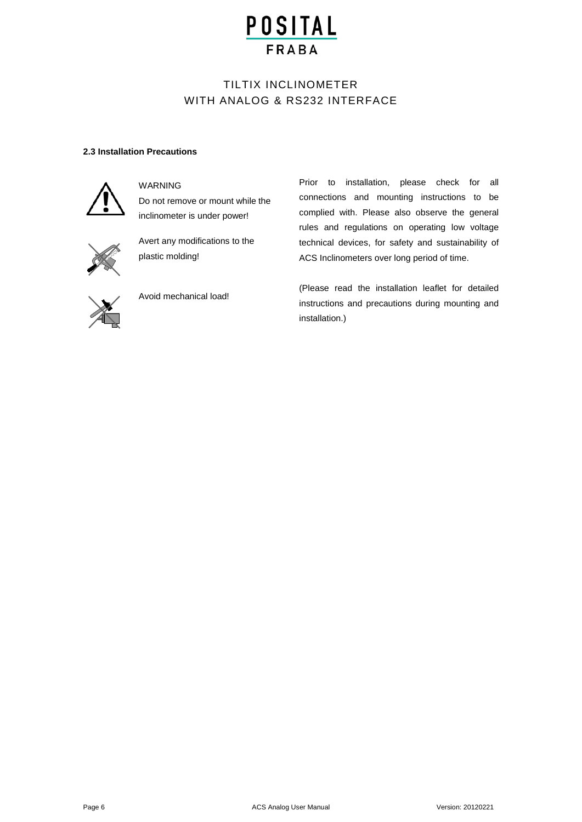### TILTIX INCLINOMETER WITH ANALOG & RS232 INTERFACE

#### **2.3 Installation Precautions**



#### WARNING

Do not remove or mount while the inclinometer is under power!



Avert any modifications to the plastic molding!



Avoid mechanical load!

Prior to installation, please check for all connections and mounting instructions to be complied with. Please also observe the general rules and regulations on operating low voltage technical devices, for safety and sustainability of ACS Inclinometers over long period of time.

(Please read the installation leaflet for detailed instructions and precautions during mounting and installation.)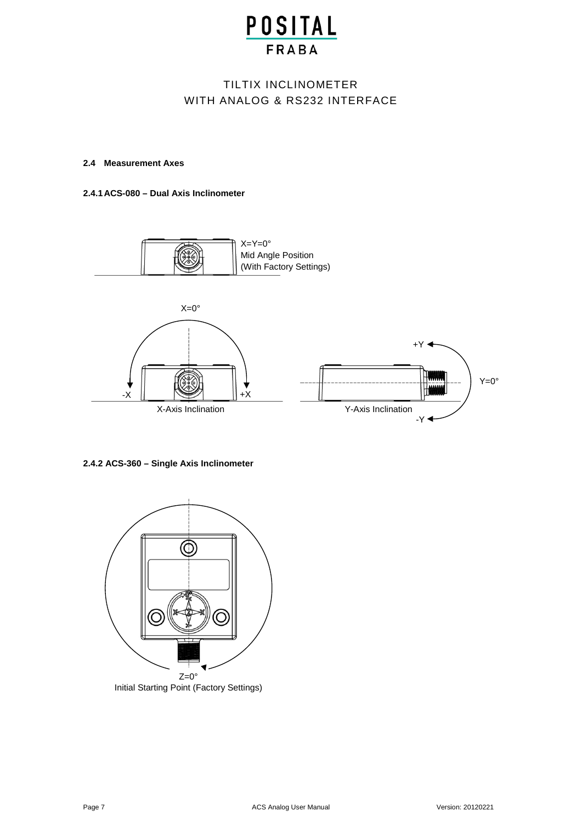## TILTIX INCLINOMETER WITH ANALOG & RS232 INTERFACE

#### **2.4 Measurement Axes**

#### **2.4.1ACS-080 – Dual Axis Inclinometer**



**2.4.2 ACS-360 – Single Axis Inclinometer**

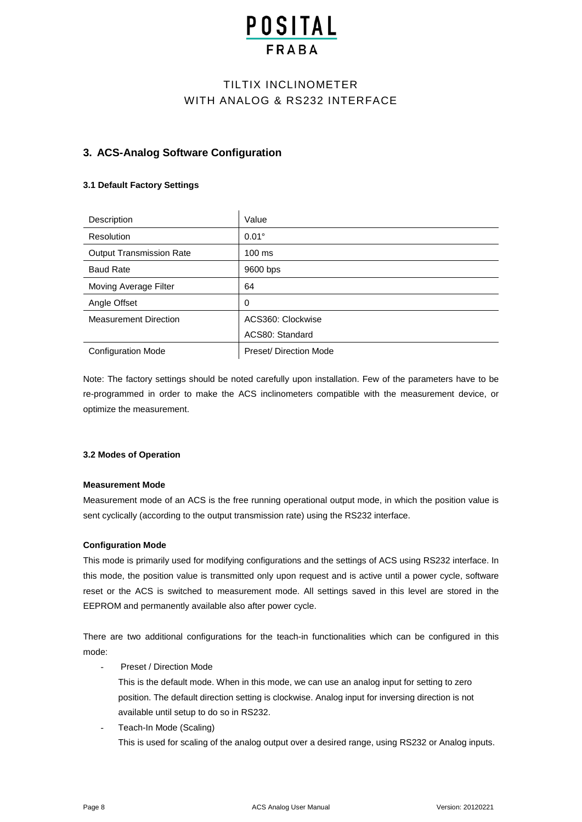# **POSITAL**

### TILTIX INCLINOMETER WITH ANALOG & RS232 INTERFACE

#### **3. ACS-Analog Software Configuration**

#### **3.1 Default Factory Settings**

| Description                     | Value                  |
|---------------------------------|------------------------|
| Resolution                      | $0.01^\circ$           |
| <b>Output Transmission Rate</b> | $100$ ms               |
| <b>Baud Rate</b>                | 9600 bps               |
| Moving Average Filter           | 64                     |
| Angle Offset                    | 0                      |
| <b>Measurement Direction</b>    | ACS360: Clockwise      |
|                                 | ACS80: Standard        |
| <b>Configuration Mode</b>       | Preset/ Direction Mode |

Note: The factory settings should be noted carefully upon installation. Few of the parameters have to be re-programmed in order to make the ACS inclinometers compatible with the measurement device, or optimize the measurement.

#### **3.2 Modes of Operation**

#### **Measurement Mode**

Measurement mode of an ACS is the free running operational output mode, in which the position value is sent cyclically (according to the output transmission rate) using the RS232 interface.

#### **Configuration Mode**

This mode is primarily used for modifying configurations and the settings of ACS using RS232 interface. In this mode, the position value is transmitted only upon request and is active until a power cycle, software reset or the ACS is switched to measurement mode. All settings saved in this level are stored in the EEPROM and permanently available also after power cycle.

There are two additional configurations for the teach-in functionalities which can be configured in this mode:

Preset / Direction Mode

This is the default mode. When in this mode, we can use an analog input for setting to zero position. The default direction setting is clockwise. Analog input for inversing direction is not available until setup to do so in RS232.

Teach-In Mode (Scaling)

This is used for scaling of the analog output over a desired range, using RS232 or Analog inputs.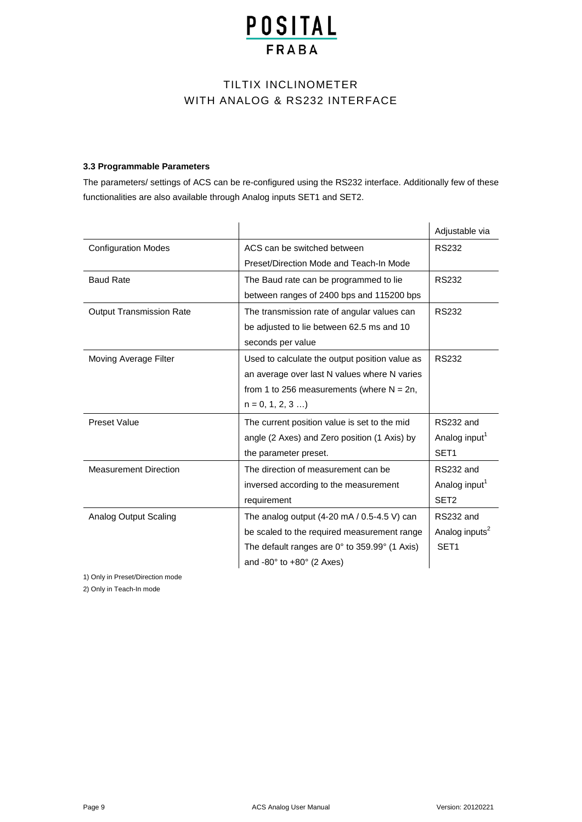## TILTIX INCLINOMETER WITH ANALOG & RS232 INTERFACE

#### **3.3 Programmable Parameters**

The parameters/ settings of ACS can be re-configured using the RS232 interface. Additionally few of these functionalities are also available through Analog inputs SET1 and SET2.

|                                 |                                                               | Adjustable via             |
|---------------------------------|---------------------------------------------------------------|----------------------------|
| <b>Configuration Modes</b>      | ACS can be switched between                                   | <b>RS232</b>               |
|                                 | Preset/Direction Mode and Teach-In Mode                       |                            |
| <b>Baud Rate</b>                | The Baud rate can be programmed to lie                        | <b>RS232</b>               |
|                                 | between ranges of 2400 bps and 115200 bps                     |                            |
| <b>Output Transmission Rate</b> | The transmission rate of angular values can                   | <b>RS232</b>               |
|                                 | be adjusted to lie between 62.5 ms and 10                     |                            |
|                                 | seconds per value                                             |                            |
| Moving Average Filter           | Used to calculate the output position value as                | <b>RS232</b>               |
|                                 | an average over last N values where N varies                  |                            |
|                                 | from 1 to 256 measurements (where $N = 2n$ ,                  |                            |
|                                 | $n = 0, 1, 2, 3 $                                             |                            |
| <b>Preset Value</b>             | The current position value is set to the mid                  | RS232 and                  |
|                                 | angle (2 Axes) and Zero position (1 Axis) by                  | Analog input <sup>1</sup>  |
|                                 | the parameter preset.                                         | SET <sub>1</sub>           |
| <b>Measurement Direction</b>    | The direction of measurement can be                           | RS232 and                  |
|                                 | inversed according to the measurement                         | Analog input <sup>1</sup>  |
|                                 | requirement                                                   | SET <sub>2</sub>           |
| <b>Analog Output Scaling</b>    | The analog output $(4-20 \text{ mA} / 0.5-4.5 \text{ V})$ can | RS232 and                  |
|                                 | be scaled to the required measurement range                   | Analog inputs <sup>2</sup> |
|                                 | The default ranges are $0^\circ$ to 359.99 $^\circ$ (1 Axis)  | SET <sub>1</sub>           |
|                                 | and -80 $^{\circ}$ to +80 $^{\circ}$ (2 Axes)                 |                            |

1) Only in Preset/Direction mode

2) Only in Teach-In mode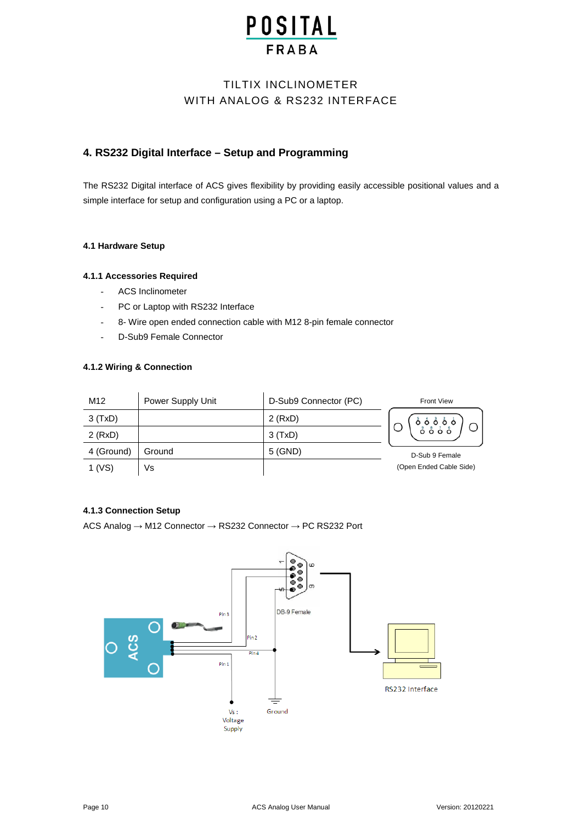## TILTIX INCLINOMETER WITH ANALOG & RS232 INTERFACE

### **4. RS232 Digital Interface – Setup and Programming**

The RS232 Digital interface of ACS gives flexibility by providing easily accessible positional values and a simple interface for setup and configuration using a PC or a laptop.

#### **4.1 Hardware Setup**

#### **4.1.1 Accessories Required**

- ACS Inclinometer
- PC or Laptop with RS232 Interface
- 8- Wire open ended connection cable with M12 8-pin female connector
- D-Sub9 Female Connector

#### **4.1.2 Wiring & Connection**

| M <sub>12</sub> | Power Supply Unit | D-Sub9 Connector (PC) | <b>Front View</b>       |
|-----------------|-------------------|-----------------------|-------------------------|
| 3(TxD)          |                   | $2$ (RxD)             |                         |
| $2$ (RxD)       |                   | 3(TxD)                | ە ۋە ۋە<br>ۋە ۋە        |
| 4 (Ground)      | Ground            | 5 (GND)               | D-Sub 9 Female          |
| $1$ (VS)        | Vs                |                       | (Open Ended Cable Side) |

#### **4.1.3 Connection Setup**

ACS Analog → M12 Connector → RS232 Connector → PC RS232 Port

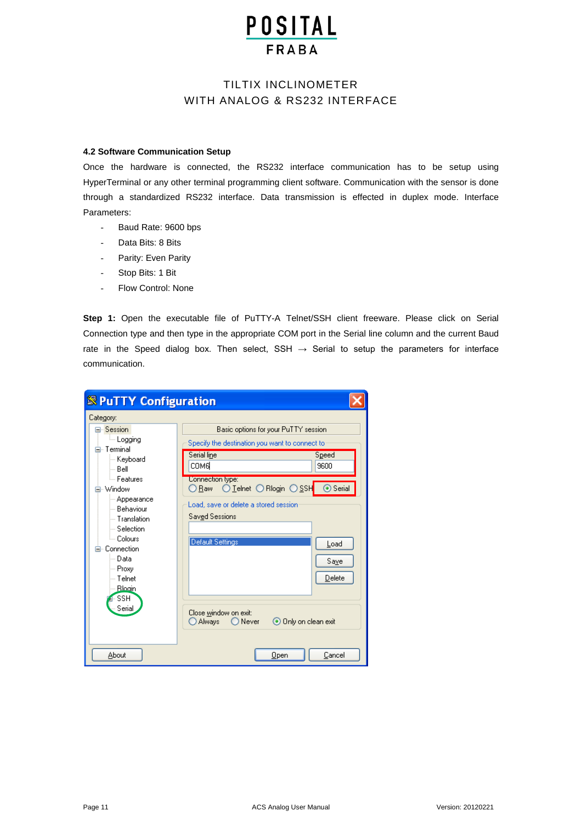### TILTIX INCLINOMETER WITH ANALOG & RS232 INTERFACE

#### **4.2 Software Communication Setup**

Once the hardware is connected, the RS232 interface communication has to be setup using HyperTerminal or any other terminal programming client software. Communication with the sensor is done through a standardized RS232 interface. Data transmission is effected in duplex mode. Interface Parameters:

- Baud Rate: 9600 bps
- Data Bits: 8 Bits
- Parity: Even Parity
- Stop Bits: 1 Bit
- Flow Control: None

**Step 1:** Open the executable file of PuTTY-A Telnet/SSH client freeware. Please click on Serial Connection type and then type in the appropriate COM port in the Serial line column and the current Baud rate in the Speed dialog box. Then select, SSH  $\rightarrow$  Serial to setup the parameters for interface communication.

| <b><sup>8</sup></b> PuTTY Configuration                                               |                                                                                        |  |
|---------------------------------------------------------------------------------------|----------------------------------------------------------------------------------------|--|
| Category:                                                                             |                                                                                        |  |
| Session<br>ille Logging<br>⊟- Terminal                                                | Basic options for your PuTTY session<br>Specify the destination you want to connect to |  |
| — Keyboard<br>l— Bell                                                                 | Serial line<br>Speed<br>соме<br>9600                                                   |  |
| <sup>i</sup> — Features.<br>· Window                                                  | Connection type:<br>○ Raw ○ Leinet ○ Riogin ○ SSH<br>$\odot$ Serial                    |  |
| - Appearance<br>— Behaviour<br>— Translation<br>$\mathrel{\mathop:}$ Selection.       | Load, save or delete a stored session<br><b>Saved Sessions</b>                         |  |
| └─ Colours<br>⊟- Connection<br>i--- Data<br>⊸ Proxy<br>— Telnet<br>-- Bloain<br>- SSH | Default Settings<br>Load<br>Save<br>Delete                                             |  |
| Serial                                                                                | Close window on exit:<br>⊙ Only on clean exit<br>Always<br>$\bigcirc$ Never            |  |
| About                                                                                 | Cancel<br>Open                                                                         |  |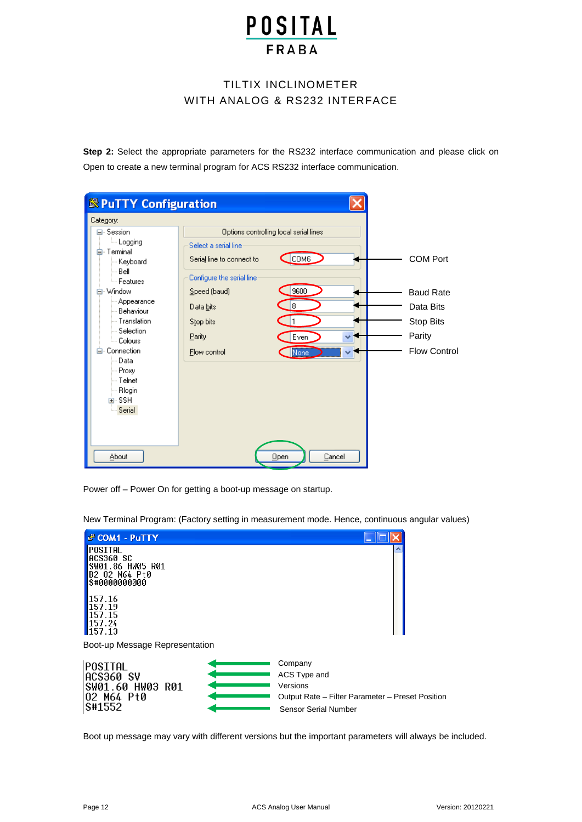### TILTIX INCLINOMETER WITH ANALOG & RS232 INTERFACE

**Step 2:** Select the appropriate parameters for the RS232 interface communication and please click on Open to create a new terminal program for ACS RS232 interface communication.

| Category:                                                                                                                                                                                                                      |                                                                                                                                                                                                                                   |                                                                                                |
|--------------------------------------------------------------------------------------------------------------------------------------------------------------------------------------------------------------------------------|-----------------------------------------------------------------------------------------------------------------------------------------------------------------------------------------------------------------------------------|------------------------------------------------------------------------------------------------|
| ⊟- Session<br><b>Logging</b><br>Terminal<br>Keyboard<br>Bell<br>ै– Features<br>Window<br>Appearance<br>Behaviour<br>Translation<br>Selection<br>Colours<br>Connection<br>Data<br>Proxy<br>Telnet<br>Rlogin<br>面- SSH<br>Serial | Options controlling local serial lines<br>Select a serial line<br>COM6<br>Serial line to connect to<br>Configure the serial line<br>9600<br>Speed (baud)<br>8<br>Data bits<br>Stop bits<br>Parity<br>Even<br>Flow control<br>None | <b>COM Port</b><br><b>Baud Rate</b><br>Data Bits<br>Stop Bits<br>Parity<br><b>Flow Control</b> |

Power off – Power On for getting a boot-up message on startup.

New Terminal Program: (Factory setting in measurement mode. Hence, continuous angular values)



Boot up message may vary with different versions but the important parameters will always be included.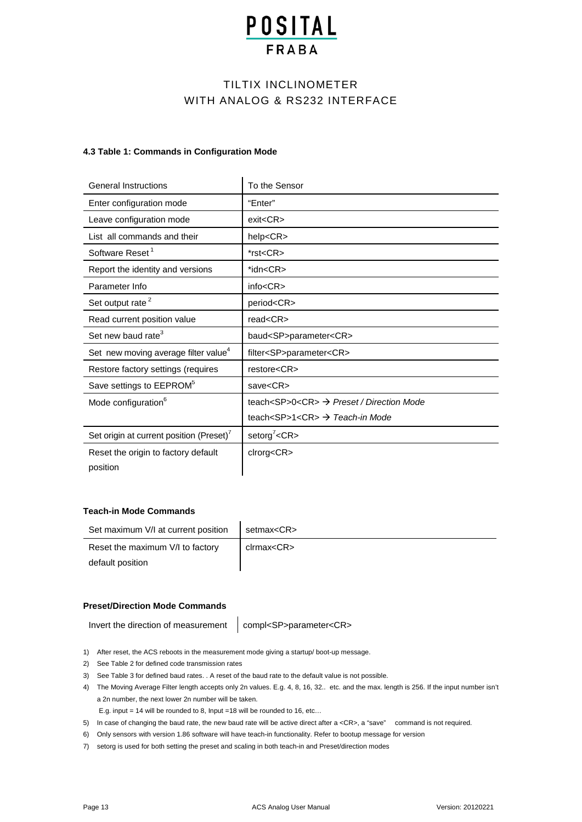## TILTIX INCLINOMETER WITH ANALOG & RS232 INTERFACE

#### **4.3 Table 1: Commands in Configuration Mode**

| <b>General Instructions</b>                      | To the Sensor                                                             |
|--------------------------------------------------|---------------------------------------------------------------------------|
| Enter configuration mode                         | "Enter"                                                                   |
| Leave configuration mode                         | exit < CR                                                                 |
| List all commands and their                      | help <cr></cr>                                                            |
| Software Reset <sup>1</sup>                      | *rst <cr></cr>                                                            |
| Report the identity and versions                 | *idn <cr></cr>                                                            |
| Parameter Info                                   | info < CR                                                                 |
| Set output rate <sup>2</sup>                     | period <cr></cr>                                                          |
| Read current position value                      | read < CR                                                                 |
|                                                  |                                                                           |
| Set new baud rate <sup>3</sup>                   | baud <sp>parameter<cr></cr></sp>                                          |
| Set new moving average filter value <sup>4</sup> | filter <sp>parameter<cr></cr></sp>                                        |
| Restore factory settings (requires               | restore <cr></cr>                                                         |
| Save settings to EEPROM <sup>5</sup>             | save <cr></cr>                                                            |
| Mode configuration <sup>6</sup>                  | teach <sp>0<cr><math>\rightarrow</math> Preset / Direction Mode</cr></sp> |
|                                                  | teach <sp>1<cr><math>\rightarrow</math> Teach-in Mode</cr></sp>           |
| Set origin at current position (Preset)'         | setorg <sup>7</sup> < $CR$ >                                              |
| Reset the origin to factory default              | clrorg <cr></cr>                                                          |

#### **Teach-in Mode Commands**

| Set maximum V/I at current position | setmax <cr></cr> |
|-------------------------------------|------------------|
| Reset the maximum V/I to factory    | clrmax <cr></cr> |
| default position                    |                  |

#### **Preset/Direction Mode Commands**

Invert the direction of measurement compl<SP>parameter<CR>

- 1) After reset, the ACS reboots in the measurement mode giving a startup/ boot-up message.
- 2) See Table 2 for defined code transmission rates
- 3) See Table 3 for defined baud rates. . A reset of the baud rate to the default value is not possible.
- 4) The Moving Average Filter length accepts only 2n values. E.g. 4, 8, 16, 32.. etc. and the max. length is 256. If the input number isn't a 2n number, the next lower 2n number will be taken.
	- E.g. input = 14 will be rounded to 8, Input =18 will be rounded to 16, etc…
- 5) In case of changing the baud rate, the new baud rate will be active direct after a <CR>, a "save" command is not required.
- 6) Only sensors with version 1.86 software will have teach-in functionality. Refer to bootup message for version
- 7) setorg is used for both setting the preset and scaling in both teach-in and Preset/direction modes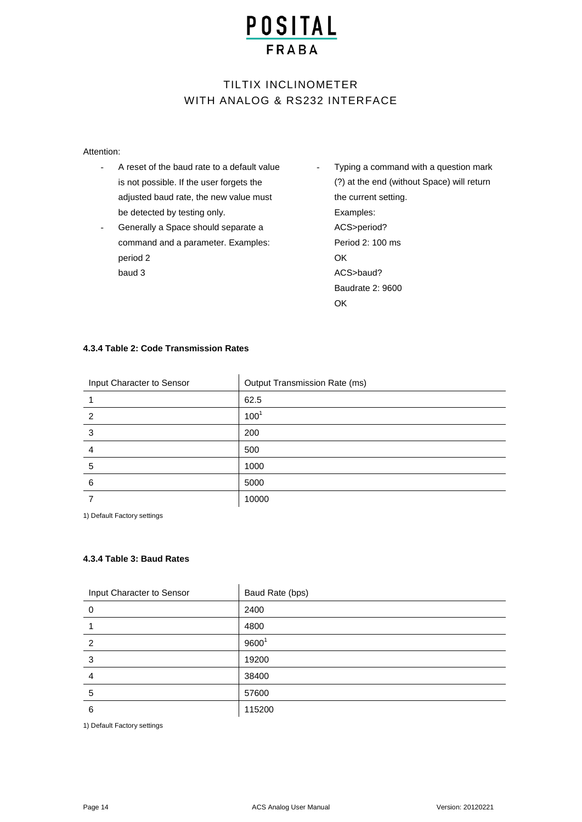# TILTIX INCLINOMETER WITH ANALOG & RS232 INTERFACE

#### Attention:

- A reset of the baud rate to a default value is not possible. If the user forgets the adjusted baud rate, the new value must be detected by testing only.
- Generally a Space should separate a command and a parameter. Examples: period 2 baud 3
- Typing a command with a question mark (?) at the end (without Space) will return the current setting. Examples: ACS>period? Period 2: 100 ms **OK** ACS>baud? Baudrate 2: 9600 OK

#### **4.3.4 Table 2: Code Transmission Rates**

| Input Character to Sensor | <b>Output Transmission Rate (ms)</b> |
|---------------------------|--------------------------------------|
|                           | 62.5                                 |
| $\overline{2}$            | 100 <sup>1</sup>                     |
| 3                         | 200                                  |
|                           | 500                                  |
| 5                         | 1000                                 |
| 6                         | 5000                                 |
|                           | 10000                                |

1) Default Factory settings

#### **4.3.4 Table 3: Baud Rates**

| Input Character to Sensor | Baud Rate (bps)   |
|---------------------------|-------------------|
| 0                         | 2400              |
|                           | 4800              |
| $\overline{2}$            | 9600 <sup>1</sup> |
| 3                         | 19200             |
| 4                         | 38400             |
| 5                         | 57600             |
| 6                         | 115200            |

1) Default Factory settings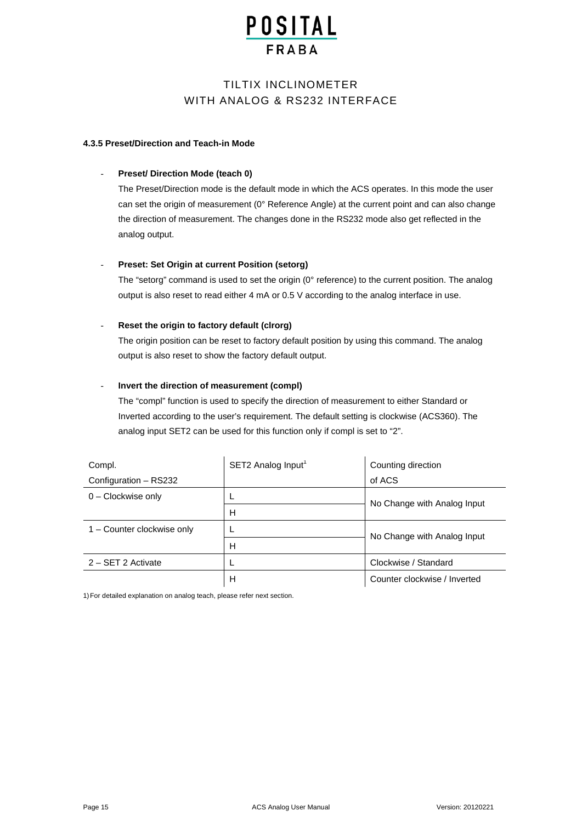### TILTIX INCLINOMETER WITH ANALOG & RS232 INTERFACE

#### **4.3.5 Preset/Direction and Teach-in Mode**

#### - **Preset/ Direction Mode (teach 0)**

The Preset/Direction mode is the default mode in which the ACS operates. In this mode the user can set the origin of measurement (0° Reference Angle) at the current point and can also change the direction of measurement. The changes done in the RS232 mode also get reflected in the analog output.

#### **Preset: Set Origin at current Position (setorg)**

The "setorg" command is used to set the origin (0° reference) to the current position. The analog output is also reset to read either 4 mA or 0.5 V according to the analog interface in use.

#### Reset the origin to factory default (clrorg)

The origin position can be reset to factory default position by using this command. The analog output is also reset to show the factory default output.

#### - **Invert the direction of measurement (compl)**

The "compl" function is used to specify the direction of measurement to either Standard or Inverted according to the user's requirement. The default setting is clockwise (ACS360). The analog input SET2 can be used for this function only if compl is set to "2".

| Compl.                     | SET2 Analog Input1 | Counting direction           |
|----------------------------|--------------------|------------------------------|
| Configuration - RS232      |                    | of ACS                       |
| $0$ – Clockwise only       |                    | No Change with Analog Input  |
|                            | н                  |                              |
| 1 - Counter clockwise only |                    | No Change with Analog Input  |
|                            | н                  |                              |
| 2 - SET 2 Activate         |                    | Clockwise / Standard         |
|                            | н                  | Counter clockwise / Inverted |

1)For detailed explanation on analog teach, please refer next section.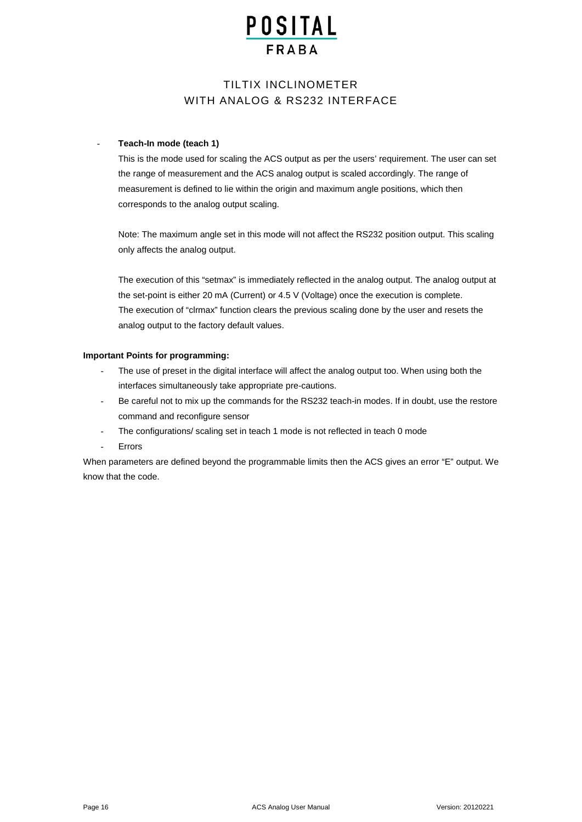### TILTIX INCLINOMETER WITH ANALOG & RS232 INTERFACE

#### - **Teach-In mode (teach 1)**

This is the mode used for scaling the ACS output as per the users' requirement. The user can set the range of measurement and the ACS analog output is scaled accordingly. The range of measurement is defined to lie within the origin and maximum angle positions, which then corresponds to the analog output scaling.

Note: The maximum angle set in this mode will not affect the RS232 position output. This scaling only affects the analog output.

The execution of this "setmax" is immediately reflected in the analog output. The analog output at the set-point is either 20 mA (Current) or 4.5 V (Voltage) once the execution is complete. The execution of "clrmax" function clears the previous scaling done by the user and resets the analog output to the factory default values.

#### **Important Points for programming:**

- The use of preset in the digital interface will affect the analog output too. When using both the interfaces simultaneously take appropriate pre-cautions.
- Be careful not to mix up the commands for the RS232 teach-in modes. If in doubt, use the restore command and reconfigure sensor
- The configurations/ scaling set in teach 1 mode is not reflected in teach 0 mode
- **Errors**

When parameters are defined beyond the programmable limits then the ACS gives an error "E" output. We know that the code.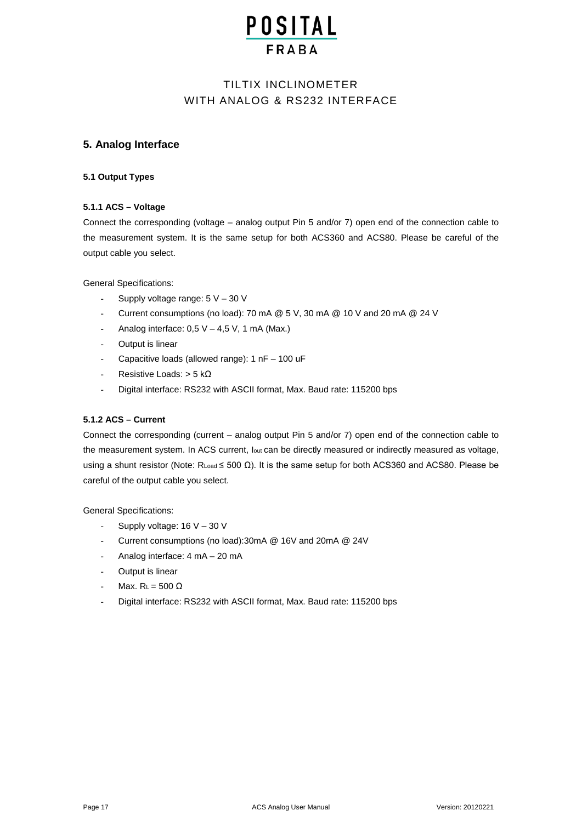### TILTIX INCLINOMETER WITH ANALOG & RS232 INTERFACE

#### **5. Analog Interface**

#### **5.1 Output Types**

#### **5.1.1 ACS – Voltage**

Connect the corresponding (voltage – analog output Pin 5 and/or 7) open end of the connection cable to the measurement system. It is the same setup for both ACS360 and ACS80. Please be careful of the output cable you select.

General Specifications:

- Supply voltage range:  $5 V 30 V$
- Current consumptions (no load): 70 mA @ 5 V, 30 mA @ 10 V and 20 mA @ 24 V
- Analog interface:  $0.5 V 4.5 V$ , 1 mA (Max.)
- Output is linear
- Capacitive loads (allowed range):  $1 nF 100 uF$
- Resistive Loads:  $> 5$  kΩ
- Digital interface: RS232 with ASCII format, Max. Baud rate: 115200 bps

#### **5.1.2 ACS – Current**

Connect the corresponding (current – analog output Pin 5 and/or 7) open end of the connection cable to the measurement system. In ACS current, lout can be directly measured or indirectly measured as voltage, using a shunt resistor (Note: RLoad ≤ 500 Ω). It is the same setup for both ACS360 and ACS80. Please be careful of the output cable you select.

General Specifications:

- Supply voltage: 16 V 30 V
- Current consumptions (no load):30mA @ 16V and 20mA @ 24V
- Analog interface: 4 mA 20 mA
- Output is linear
- $Max. R<sub>L</sub> = 500 Ω$
- Digital interface: RS232 with ASCII format, Max. Baud rate: 115200 bps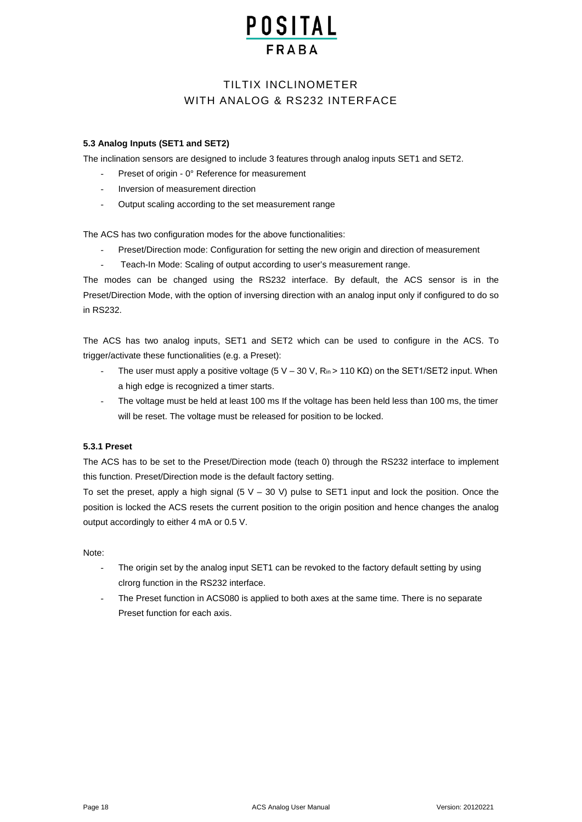# **POSITAL**

### TILTIX INCLINOMETER WITH ANALOG & RS232 INTERFACE

#### **5.3 Analog Inputs (SET1 and SET2)**

The inclination sensors are designed to include 3 features through analog inputs SET1 and SET2.

- Preset of origin 0° Reference for measurement
- Inversion of measurement direction
- Output scaling according to the set measurement range

The ACS has two configuration modes for the above functionalities:

- Preset/Direction mode: Configuration for setting the new origin and direction of measurement
- Teach-In Mode: Scaling of output according to user's measurement range.

The modes can be changed using the RS232 interface. By default, the ACS sensor is in the Preset/Direction Mode, with the option of inversing direction with an analog input only if configured to do so in RS232.

The ACS has two analog inputs, SET1 and SET2 which can be used to configure in the ACS. To trigger/activate these functionalities (e.g. a Preset):

- The user must apply a positive voltage (5 V 30 V,  $\text{R}_{in}$  > 110 K $\Omega$ ) on the SET1/SET2 input. When a high edge is recognized a timer starts.
- The voltage must be held at least 100 ms If the voltage has been held less than 100 ms, the timer will be reset. The voltage must be released for position to be locked.

#### **5.3.1 Preset**

The ACS has to be set to the Preset/Direction mode (teach 0) through the RS232 interface to implement this function. Preset/Direction mode is the default factory setting.

To set the preset, apply a high signal  $(5 V - 30 V)$  pulse to SET1 input and lock the position. Once the position is locked the ACS resets the current position to the origin position and hence changes the analog output accordingly to either 4 mA or 0.5 V.

#### Note:

- The origin set by the analog input SET1 can be revoked to the factory default setting by using clrorg function in the RS232 interface.
- The Preset function in ACS080 is applied to both axes at the same time. There is no separate Preset function for each axis.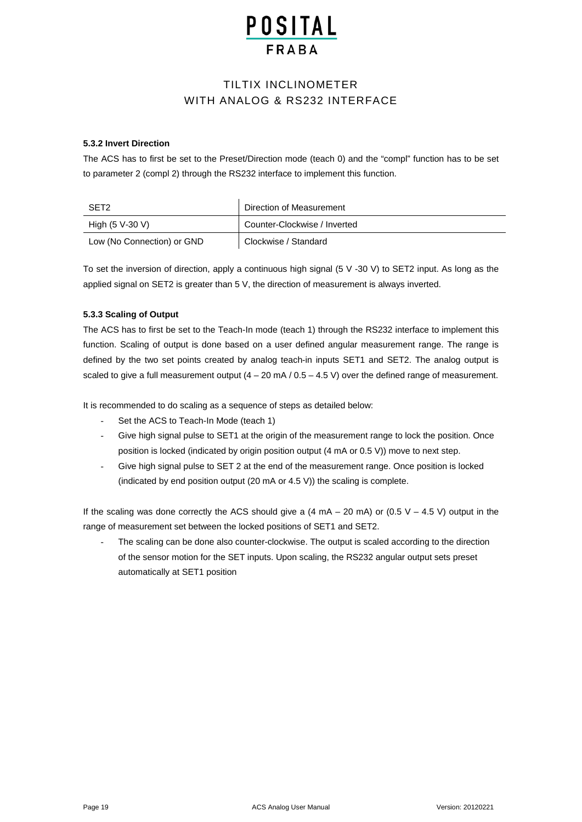# **POSITAL**

### TILTIX INCLINOMETER WITH ANALOG & RS232 INTERFACE

#### **5.3.2 Invert Direction**

The ACS has to first be set to the Preset/Direction mode (teach 0) and the "compl" function has to be set to parameter 2 (compl 2) through the RS232 interface to implement this function.

| SET <sub>2</sub>           | Direction of Measurement     |
|----------------------------|------------------------------|
| High (5 V-30 V)            | Counter-Clockwise / Inverted |
| Low (No Connection) or GND | Clockwise / Standard         |

To set the inversion of direction, apply a continuous high signal (5 V -30 V) to SET2 input. As long as the applied signal on SET2 is greater than 5 V, the direction of measurement is always inverted.

#### **5.3.3 Scaling of Output**

The ACS has to first be set to the Teach-In mode (teach 1) through the RS232 interface to implement this function. Scaling of output is done based on a user defined angular measurement range. The range is defined by the two set points created by analog teach-in inputs SET1 and SET2. The analog output is scaled to give a full measurement output  $(4 - 20 \text{ mA} / 0.5 - 4.5 \text{ V})$  over the defined range of measurement.

It is recommended to do scaling as a sequence of steps as detailed below:

- Set the ACS to Teach-In Mode (teach 1)
- Give high signal pulse to SET1 at the origin of the measurement range to lock the position. Once position is locked (indicated by origin position output (4 mA or 0.5 V)) move to next step.
- Give high signal pulse to SET 2 at the end of the measurement range. Once position is locked (indicated by end position output (20 mA or 4.5 V)) the scaling is complete.

If the scaling was done correctly the ACS should give a  $(4 \text{ mA} - 20 \text{ mA})$  or  $(0.5 \text{ V} - 4.5 \text{ V})$  output in the range of measurement set between the locked positions of SET1 and SET2.

The scaling can be done also counter-clockwise. The output is scaled according to the direction of the sensor motion for the SET inputs. Upon scaling, the RS232 angular output sets preset automatically at SET1 position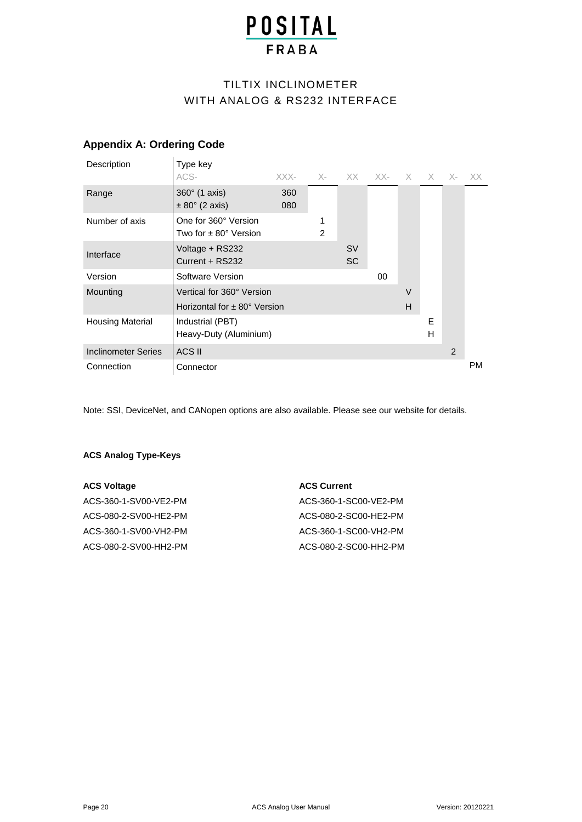# TILTIX INCLINOMETER WITH ANALOG & RS232 INTERFACE

### **Appendix A: Ordering Code**

 $\overline{1}$ 

| Description                | Type key                                                                |            |   |                        |    |             |        |   |           |
|----------------------------|-------------------------------------------------------------------------|------------|---|------------------------|----|-------------|--------|---|-----------|
|                            | ACS-                                                                    | XXX-       |   | X- XX XX- X X X- XX    |    |             |        |   |           |
| Range                      | $360^\circ$ (1 axis)<br>$\pm 80^\circ$ (2 axis)                         | 360<br>080 |   |                        |    |             |        |   |           |
| Number of axis             | One for 360° Version<br>Two for $\pm$ 80 $^{\circ}$ Version             |            | 2 |                        |    |             |        |   |           |
| Interface                  | Voltage + RS232<br>Current + RS232                                      |            |   | <b>SV</b><br><b>SC</b> |    |             |        |   |           |
| Version                    | Software Version                                                        |            |   |                        | 00 |             |        |   |           |
| Mounting                   | Vertical for 360° Version<br>Horizontal for $\pm$ 80 $^{\circ}$ Version |            |   |                        |    | $\vee$<br>H |        |   |           |
| <b>Housing Material</b>    | Industrial (PBT)<br>Heavy-Duty (Aluminium)                              |            |   |                        |    |             | E<br>H |   |           |
| <b>Inclinometer Series</b> | ACS II                                                                  |            |   |                        |    |             |        | 2 |           |
| Connection                 | Connector                                                               |            |   |                        |    |             |        |   | <b>PM</b> |

Note: SSI, DeviceNet, and CANopen options are also available. Please see our website for details.

#### **ACS Analog Type-Keys**

| <b>ACS Voltage</b>    | <b>ACS Current</b>    |
|-----------------------|-----------------------|
| ACS-360-1-SV00-VE2-PM | ACS-360-1-SC00-VE2-PM |
| ACS-080-2-SV00-HE2-PM | ACS-080-2-SC00-HE2-PM |
| ACS-360-1-SV00-VH2-PM | ACS-360-1-SC00-VH2-PM |
| ACS-080-2-SV00-HH2-PM | ACS-080-2-SC00-HH2-PM |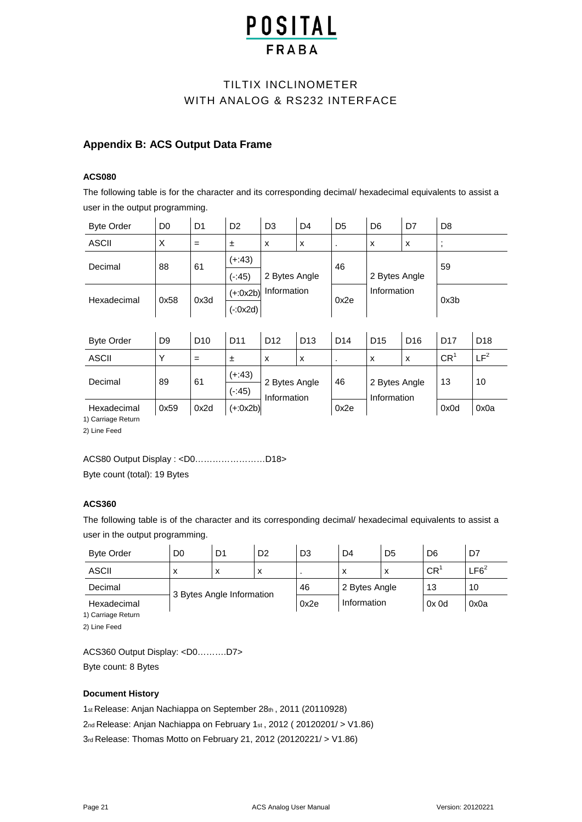## TILTIX INCLINOMETER WITH ANALOG & RS232 INTERFACE

### **Appendix B: ACS Output Data Frame**

#### **ACS080**

The following table is for the character and its corresponding decimal/ hexadecimal equivalents to assist a user in the output programming.

| <b>Byte Order</b>  | D <sub>0</sub> | D <sub>1</sub>  | D <sub>2</sub>  | D <sub>3</sub>               | D <sub>4</sub>  | D <sub>5</sub>  | D <sub>6</sub>               | D7              | D <sub>8</sub>  |                 |
|--------------------|----------------|-----------------|-----------------|------------------------------|-----------------|-----------------|------------------------------|-----------------|-----------------|-----------------|
| <b>ASCII</b>       | X              | $=$             | 土               | X                            | X               | ٠               | X                            | X               | $\,$ ,          |                 |
| Decimal            | 88             | 61              | $(+:43)$        | 2 Bytes Angle                |                 | 46              | 2 Bytes Angle                |                 | 59              |                 |
|                    |                |                 | $(-.45)$        |                              |                 |                 |                              |                 |                 |                 |
| Hexadecimal        | 0x58           | 0x3d            | $(+:0x2b)$      | Information                  |                 | 0x2e            | Information                  |                 | 0x3b            |                 |
|                    |                |                 | $(-0x2d)$       |                              |                 |                 |                              |                 |                 |                 |
|                    |                |                 |                 |                              |                 |                 |                              |                 |                 |                 |
| <b>Byte Order</b>  | D <sub>9</sub> | D <sub>10</sub> | D <sub>11</sub> | D <sub>12</sub>              | D <sub>13</sub> | D <sub>14</sub> | D <sub>15</sub>              | D <sub>16</sub> | D <sub>17</sub> | D <sub>18</sub> |
| <b>ASCII</b>       | Y              | $=$             | ±.              | x                            | X               | ٠               | X                            | x               | CR <sup>1</sup> | LF <sup>2</sup> |
| Decimal            | 89             | 61              | $(+:43)$        | 2 Bytes Angle<br>Information |                 | 46              | 2 Bytes Angle<br>Information |                 | 13              | 10              |
|                    |                |                 | $(-.45)$        |                              |                 |                 |                              |                 |                 |                 |
| Hexadecimal        | 0x59           | 0x2d            | $(+:0x2b)$      |                              |                 | 0x2e            |                              |                 | 0x0d            | 0x0a            |
| 1) Carriage Return |                |                 |                 |                              |                 |                 |                              |                 |                 |                 |

2) Line Feed

#### ACS80 Output Display : <D0……………………D18>

Byte count (total): 19 Bytes

#### **ACS360**

The following table is of the character and its corresponding decimal/ hexadecimal equivalents to assist a user in the output programming.

| <b>Byte Order</b>                 | D <sub>0</sub>            | D1 | D <sub>2</sub> | D3   | D <sub>4</sub> | D <sub>5</sub> | D <sub>6</sub>  | D7               |
|-----------------------------------|---------------------------|----|----------------|------|----------------|----------------|-----------------|------------------|
| <b>ASCII</b>                      | х                         | x  | х              |      | x              | х              | CR <sup>1</sup> | LFG <sup>2</sup> |
| Decimal                           |                           |    |                | 46   | 2 Bytes Angle  |                | 13              | 10               |
| Hexadecimal<br>1) Carriage Return | 3 Bytes Angle Information |    |                | 0x2e | Information    |                | 0x0d            | 0x0a             |

2) Line Feed

ACS360 Output Display: <D0……….D7> Byte count: 8 Bytes

#### **Document History**

1st Release: Anjan Nachiappa on September 28th , 2011 (20110928)

2nd Release: Anjan Nachiappa on February 1st , 2012 ( 20120201/ > V1.86)

3rd Release: Thomas Motto on February 21, 2012 (20120221/ > V1.86)